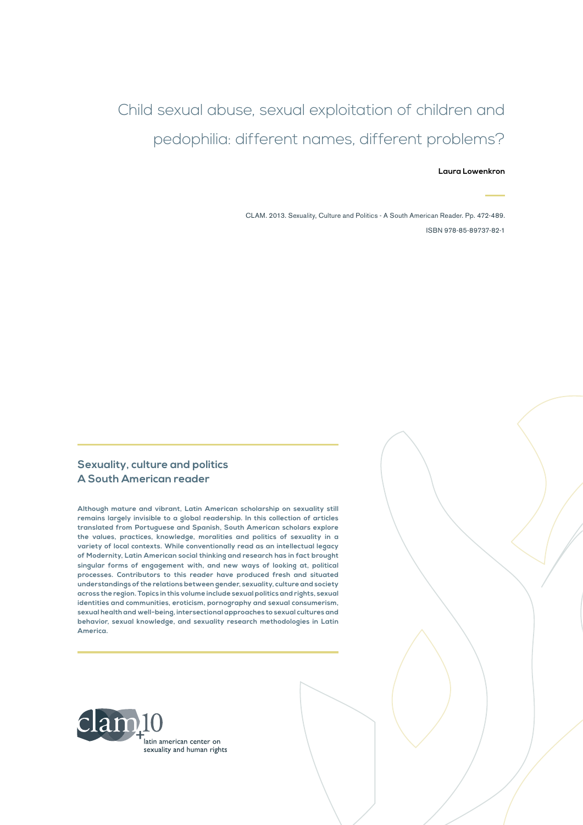# Child sexual abuse, sexual exploitation of children and pedophilia: different names, different problems?

#### **Laura Lowenkron**

CLAM. 2013. Sexuality, Culture and Politics - A South American Reader. Pp. 472-489. ISBN 978-85-89737-82-1

#### **Sexuality, culture and politics A South American reader**

**Although mature and vibrant, Latin American scholarship on sexuality still remains largely invisible to a global readership. In this collection of articles translated from Portuguese and Spanish, South American scholars explore the values, practices, knowledge, moralities and politics of sexuality in a variety of local contexts. While conventionally read as an intellectual legacy of Modernity, Latin American social thinking and research has in fact brought singular forms of engagement with, and new ways of looking at, political processes. Contributors to this reader have produced fresh and situated understandings of the relations between gender, sexuality, culture and society across the region. Topics in this volume include sexual politics and rights, sexual identities and communities, eroticism, pornography and sexual consumerism, sexual health and well-being, intersectional approaches to sexual cultures and behavior, sexual knowledge, and sexuality research methodologies in Latin America.**

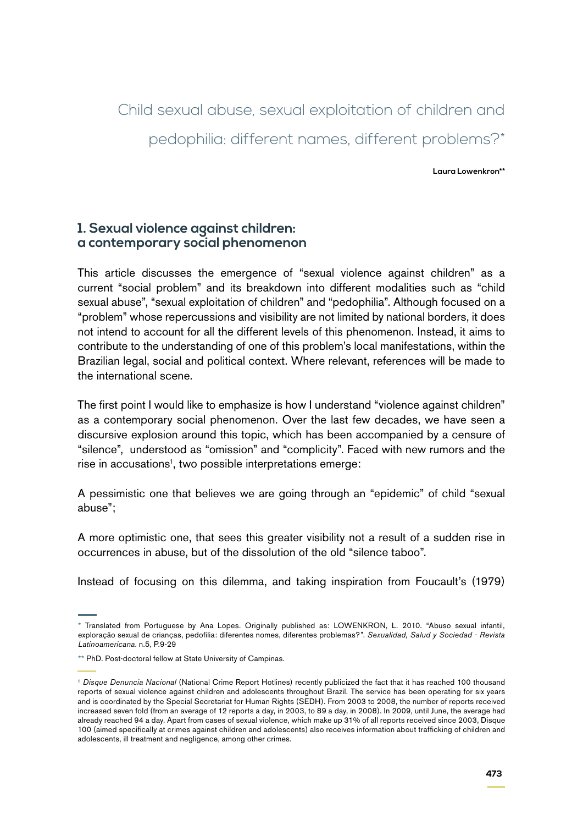Child sexual abuse, sexual exploitation of children and pedophilia: different names, different problems?\*

**Laura Lowenkron\*\***

#### **1. Sexual violence against children: a contemporary social phenomenon**

This article discusses the emergence of "sexual violence against children" as a current "social problem" and its breakdown into different modalities such as "child sexual abuse", "sexual exploitation of children" and "pedophilia". Although focused on a "problem" whose repercussions and visibility are not limited by national borders, it does not intend to account for all the different levels of this phenomenon. Instead, it aims to contribute to the understanding of one of this problem's local manifestations, within the Brazilian legal, social and political context. Where relevant, references will be made to the international scene.

The first point I would like to emphasize is how I understand "violence against children" as a contemporary social phenomenon. Over the last few decades, we have seen a discursive explosion around this topic, which has been accompanied by a censure of "silence", understood as "omission" and "complicity". Faced with new rumors and the rise in accusations<sup>1</sup>, two possible interpretations emerge:

A pessimistic one that believes we are going through an "epidemic" of child "sexual abuse";

A more optimistic one, that sees this greater visibility not a result of a sudden rise in occurrences in abuse, but of the dissolution of the old "silence taboo".

Instead of focusing on this dilemma, and taking inspiration from Foucault's (1979)

<sup>\*</sup> Translated from Portuguese by Ana Lopes. Originally published as: LOWENKRON, L. 2010. "Abuso sexual infantil, exploração sexual de crianças, pedofilia: diferentes nomes, diferentes problemas?". *Sexualidad, Salud y Sociedad - Revista Latinoamericana*. n.5, P.9-29

<sup>\*\*</sup> PhD. Post-doctoral fellow at State University of Campinas.

<sup>1</sup> *Disque Denuncia Nacional* (National Crime Report Hotlines) recently publicized the fact that it has reached 100 thousand reports of sexual violence against children and adolescents throughout Brazil. The service has been operating for six years and is coordinated by the Special Secretariat for Human Rights (SEDH). From 2003 to 2008, the number of reports received increased seven fold (from an average of 12 reports a day, in 2003, to 89 a day, in 2008). In 2009, until June, the average had already reached 94 a day. Apart from cases of sexual violence, which make up 31% of all reports received since 2003, Disque 100 (aimed specifically at crimes against children and adolescents) also receives information about trafficking of children and adolescents, ill treatment and negligence, among other crimes.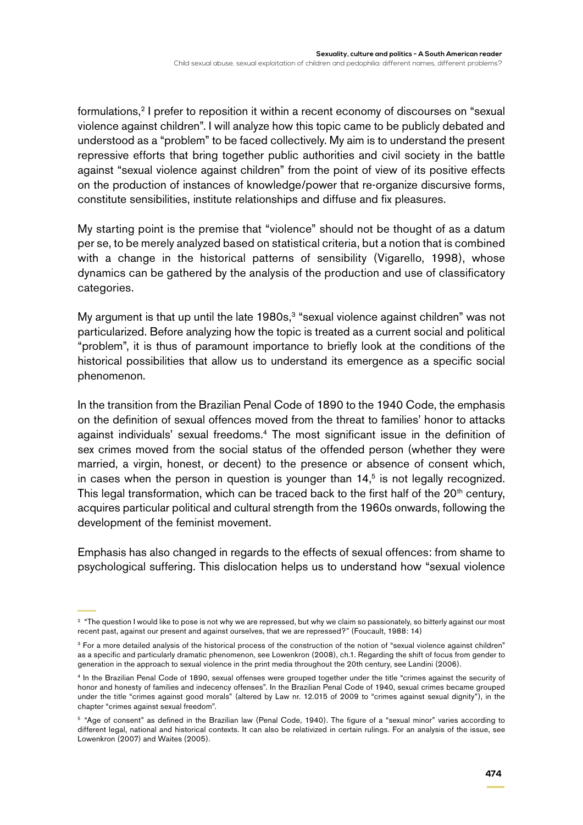formulations,<sup>2</sup> I prefer to reposition it within a recent economy of discourses on "sexual violence against children". I will analyze how this topic came to be publicly debated and understood as a "problem" to be faced collectively. My aim is to understand the present repressive efforts that bring together public authorities and civil society in the battle against "sexual violence against children" from the point of view of its positive effects on the production of instances of knowledge/power that re-organize discursive forms, constitute sensibilities, institute relationships and diffuse and fix pleasures.

My starting point is the premise that "violence" should not be thought of as a datum per se, to be merely analyzed based on statistical criteria, but a notion that is combined with a change in the historical patterns of sensibility (Vigarello, 1998), whose dynamics can be gathered by the analysis of the production and use of classificatory categories.

My argument is that up until the late  $1980s<sup>3</sup>$  "sexual violence against children" was not particularized. Before analyzing how the topic is treated as a current social and political "problem", it is thus of paramount importance to briefly look at the conditions of the historical possibilities that allow us to understand its emergence as a specific social phenomenon.

In the transition from the Brazilian Penal Code of 1890 to the 1940 Code, the emphasis on the definition of sexual offences moved from the threat to families' honor to attacks against individuals' sexual freedoms.<sup>4</sup> The most significant issue in the definition of sex crimes moved from the social status of the offended person (whether they were married, a virgin, honest, or decent) to the presence or absence of consent which, in cases when the person in question is younger than  $14<sup>5</sup>$  is not legally recognized. This legal transformation, which can be traced back to the first half of the  $20<sup>th</sup>$  century, acquires particular political and cultural strength from the 1960s onwards, following the development of the feminist movement.

Emphasis has also changed in regards to the effects of sexual offences: from shame to psychological suffering. This dislocation helps us to understand how "sexual violence

<sup>&</sup>lt;sup>2</sup> "The question I would like to pose is not why we are repressed, but why we claim so passionately, so bitterly against our most recent past, against our present and against ourselves, that we are repressed?" (Foucault, 1988: 14)

<sup>&</sup>lt;sup>3</sup> For a more detailed analysis of the historical process of the construction of the notion of "sexual violence against children" as a specific and particularly dramatic phenomenon, see Lowenkron (2008), ch.1. Regarding the shift of focus from gender to generation in the approach to sexual violence in the print media throughout the 20th century, see Landini (2006).

<sup>4</sup> In the Brazilian Penal Code of 1890, sexual offenses were grouped together under the title "crimes against the security of honor and honesty of families and indecency offenses". In the Brazilian Penal Code of 1940, sexual crimes became grouped under the title "crimes against good morals" (altered by Law nr. 12.015 of 2009 to "crimes against sexual dignity"), in the chapter "crimes against sexual freedom".

<sup>5</sup> "Age of consent" as defined in the Brazilian law (Penal Code, 1940). The figure of a "sexual minor" varies according to different legal, national and historical contexts. It can also be relativized in certain rulings. For an analysis of the issue, see Lowenkron (2007) and Waites (2005).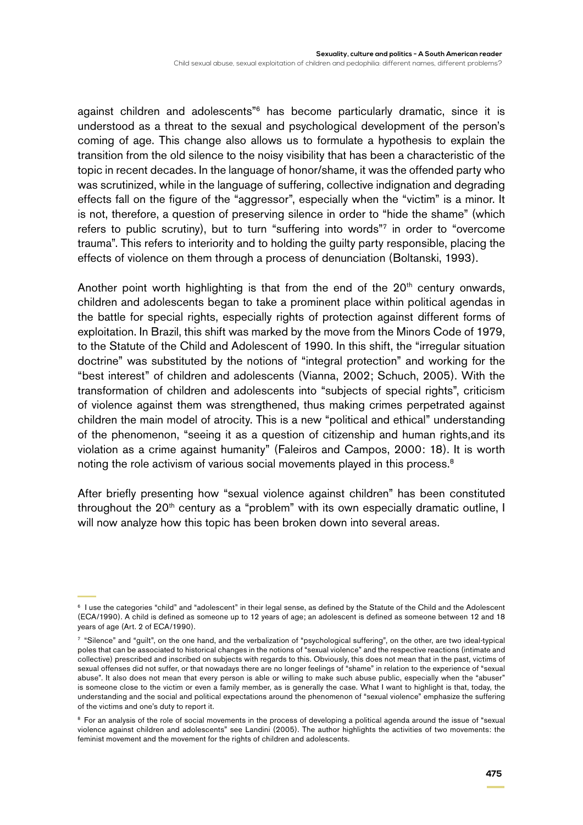against children and adolescents"6 has become particularly dramatic, since it is understood as a threat to the sexual and psychological development of the person's coming of age. This change also allows us to formulate a hypothesis to explain the transition from the old silence to the noisy visibility that has been a characteristic of the topic in recent decades. In the language of honor/shame, it was the offended party who was scrutinized, while in the language of suffering, collective indignation and degrading effects fall on the figure of the "aggressor", especially when the "victim" is a minor. It is not, therefore, a question of preserving silence in order to "hide the shame" (which refers to public scrutiny), but to turn "suffering into words"7 in order to "overcome trauma". This refers to interiority and to holding the guilty party responsible, placing the effects of violence on them through a process of denunciation (Boltanski, 1993).

Another point worth highlighting is that from the end of the  $20<sup>th</sup>$  century onwards, children and adolescents began to take a prominent place within political agendas in the battle for special rights, especially rights of protection against different forms of exploitation. In Brazil, this shift was marked by the move from the Minors Code of 1979, to the Statute of the Child and Adolescent of 1990. In this shift, the "irregular situation doctrine" was substituted by the notions of "integral protection" and working for the "best interest" of children and adolescents (Vianna, 2002; Schuch, 2005). With the transformation of children and adolescents into "subjects of special rights", criticism of violence against them was strengthened, thus making crimes perpetrated against children the main model of atrocity. This is a new "political and ethical" understanding of the phenomenon, "seeing it as a question of citizenship and human rights,and its violation as a crime against humanity" (Faleiros and Campos, 2000: 18). It is worth noting the role activism of various social movements played in this process.<sup>8</sup>

After briefly presenting how "sexual violence against children" has been constituted throughout the 20<sup>th</sup> century as a "problem" with its own especially dramatic outline, I will now analyze how this topic has been broken down into several areas.

<sup>6</sup> I use the categories "child" and "adolescent" in their legal sense, as defined by the Statute of the Child and the Adolescent (ECA/1990). A child is defined as someone up to 12 years of age; an adolescent is defined as someone between 12 and 18 years of age (Art. 2 of ECA/1990).

<sup>7</sup> "Silence" and "guilt", on the one hand, and the verbalization of "psychological suffering", on the other, are two ideal-typical poles that can be associated to historical changes in the notions of "sexual violence" and the respective reactions (intimate and collective) prescribed and inscribed on subjects with regards to this. Obviously, this does not mean that in the past, victims of sexual offenses did not suffer, or that nowadays there are no longer feelings of "shame" in relation to the experience of "sexual abuse". It also does not mean that every person is able or willing to make such abuse public, especially when the "abuser" is someone close to the victim or even a family member, as is generally the case. What I want to highlight is that, today, the understanding and the social and political expectations around the phenomenon of "sexual violence" emphasize the suffering of the victims and one's duty to report it.

<sup>&</sup>lt;sup>8</sup> For an analysis of the role of social movements in the process of developing a political agenda around the issue of "sexual violence against children and adolescents" see Landini (2005). The author highlights the activities of two movements: the feminist movement and the movement for the rights of children and adolescents.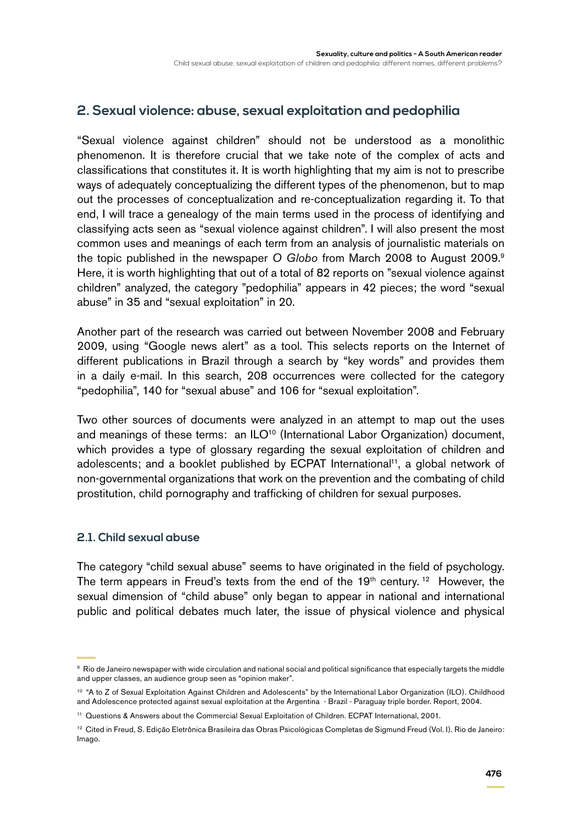## **2. Sexual violence: abuse, sexual exploitation and pedophilia**

"Sexual violence against children" should not be understood as a monolithic phenomenon. It is therefore crucial that we take note of the complex of acts and classifications that constitutes it. It is worth highlighting that my aim is not to prescribe ways of adequately conceptualizing the different types of the phenomenon, but to map out the processes of conceptualization and re-conceptualization regarding it. To that end, I will trace a genealogy of the main terms used in the process of identifying and classifying acts seen as "sexual violence against children". I will also present the most common uses and meanings of each term from an analysis of journalistic materials on the topic published in the newspaper *O Globo* from March 2008 to August 2009.9 Here, it is worth highlighting that out of a total of 82 reports on "sexual violence against children" analyzed, the category "pedophilia" appears in 42 pieces; the word "sexual abuse" in 35 and "sexual exploitation" in 20.

Another part of the research was carried out between November 2008 and February 2009, using "Google news alert" as a tool. This selects reports on the Internet of different publications in Brazil through a search by "key words" and provides them in a daily e-mail. In this search, 208 occurrences were collected for the category "pedophilia", 140 for "sexual abuse" and 106 for "sexual exploitation".

Two other sources of documents were analyzed in an attempt to map out the uses and meanings of these terms: an ILO<sup>10</sup> (International Labor Organization) document, which provides a type of glossary regarding the sexual exploitation of children and adolescents; and a booklet published by ECPAT International<sup>11</sup>, a global network of non-governmental organizations that work on the prevention and the combating of child prostitution, child pornography and trafficking of children for sexual purposes.

#### **2.1. Child sexual abuse**

The category "child sexual abuse" seems to have originated in the field of psychology. The term appears in Freud's texts from the end of the  $19<sup>th</sup>$  century. <sup>12</sup> However, the sexual dimension of "child abuse" only began to appear in national and international public and political debates much later, the issue of physical violence and physical

<sup>9</sup> Rio de Janeiro newspaper with wide circulation and national social and political significance that especially targets the middle and upper classes, an audience group seen as "opinion maker".

<sup>&</sup>lt;sup>10</sup> "A to Z of Sexual Exploitation Against Children and Adolescents" by the International Labor Organization (ILO). Childhood and Adolescence protected against sexual exploitation at the Argentina - Brazil - Paraguay triple border. Report, 2004.

<sup>11</sup> Questions & Answers about the Commercial Sexual Exploitation of Children. ECPAT International, 2001.

<sup>&</sup>lt;sup>12</sup> Cited in Freud, S. Edição Eletrônica Brasileira das Obras Psicológicas Completas de Sigmund Freud (Vol. I). Rio de Janeiro: Imago.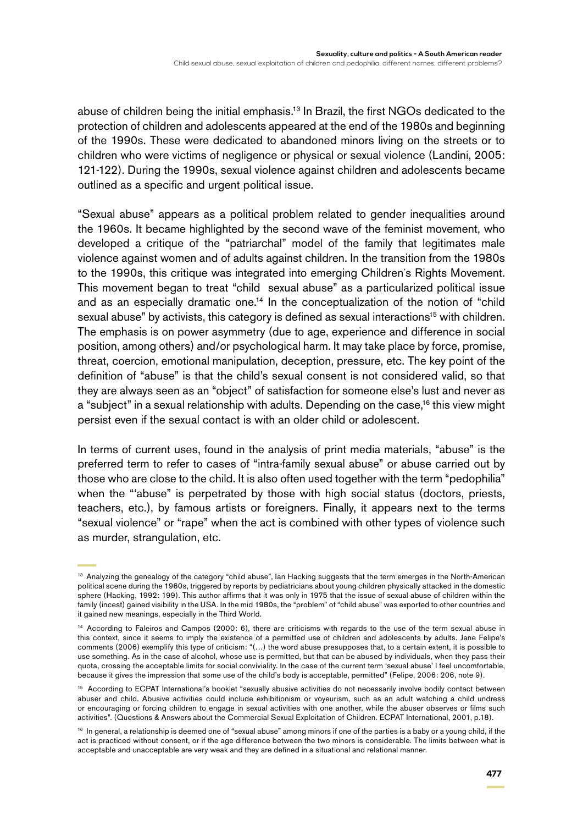abuse of children being the initial emphasis.<sup>13</sup> In Brazil, the first NGOs dedicated to the protection of children and adolescents appeared at the end of the 1980s and beginning of the 1990s. These were dedicated to abandoned minors living on the streets or to children who were victims of negligence or physical or sexual violence (Landini, 2005: 121-122). During the 1990s, sexual violence against children and adolescents became outlined as a specific and urgent political issue.

"Sexual abuse" appears as a political problem related to gender inequalities around the 1960s. It became highlighted by the second wave of the feminist movement, who developed a critique of the "patriarchal" model of the family that legitimates male violence against women and of adults against children. In the transition from the 1980s to the 1990s, this critique was integrated into emerging Children´s Rights Movement. This movement began to treat "child sexual abuse" as a particularized political issue and as an especially dramatic one.<sup>14</sup> In the conceptualization of the notion of "child sexual abuse" by activists, this category is defined as sexual interactions<sup>15</sup> with children. The emphasis is on power asymmetry (due to age, experience and difference in social position, among others) and/or psychological harm. It may take place by force, promise, threat, coercion, emotional manipulation, deception, pressure, etc. The key point of the definition of "abuse" is that the child's sexual consent is not considered valid, so that they are always seen as an "object" of satisfaction for someone else's lust and never as a "subject" in a sexual relationship with adults. Depending on the case,<sup>16</sup> this view might persist even if the sexual contact is with an older child or adolescent.

In terms of current uses, found in the analysis of print media materials, "abuse" is the preferred term to refer to cases of "intra-family sexual abuse" or abuse carried out by those who are close to the child. It is also often used together with the term "pedophilia" when the "'abuse" is perpetrated by those with high social status (doctors, priests, teachers, etc.), by famous artists or foreigners. Finally, it appears next to the terms "sexual violence" or "rape" when the act is combined with other types of violence such as murder, strangulation, etc.

<sup>&</sup>lt;sup>13</sup> Analyzing the genealogy of the category "child abuse", Ian Hacking suggests that the term emerges in the North-American political scene during the 1960s, triggered by reports by pediatricians about young children physically attacked in the domestic sphere (Hacking, 1992: 199). This author affirms that it was only in 1975 that the issue of sexual abuse of children within the family (incest) gained visibility in the USA. In the mid 1980s, the "problem" of "child abuse" was exported to other countries and it gained new meanings, especially in the Third World.

<sup>&</sup>lt;sup>14</sup> According to Faleiros and Campos (2000: 6), there are criticisms with regards to the use of the term sexual abuse in this context, since it seems to imply the existence of a permitted use of children and adolescents by adults. Jane Felipe's comments (2006) exemplify this type of criticism: "(…) the word abuse presupposes that, to a certain extent, it is possible to use something. As in the case of alcohol, whose use is permitted, but that can be abused by individuals, when they pass their quota, crossing the acceptable limits for social conviviality. In the case of the current term 'sexual abuse' I feel uncomfortable, because it gives the impression that some use of the child's body is acceptable, permitted" (Felipe, 2006: 206, note 9).

<sup>&</sup>lt;sup>15</sup> According to ECPAT International's booklet "sexually abusive activities do not necessarily involve bodily contact between abuser and child. Abusive activities could include exhibitionism or voyeurism, such as an adult watching a child undress or encouraging or forcing children to engage in sexual activities with one another, while the abuser observes or films such activities". (Questions & Answers about the Commercial Sexual Exploitation of Children. ECPAT International, 2001, p.18).

<sup>&</sup>lt;sup>16</sup> In general, a relationship is deemed one of "sexual abuse" among minors if one of the parties is a baby or a young child, if the act is practiced without consent, or if the age difference between the two minors is considerable. The limits between what is acceptable and unacceptable are very weak and they are defined in a situational and relational manner.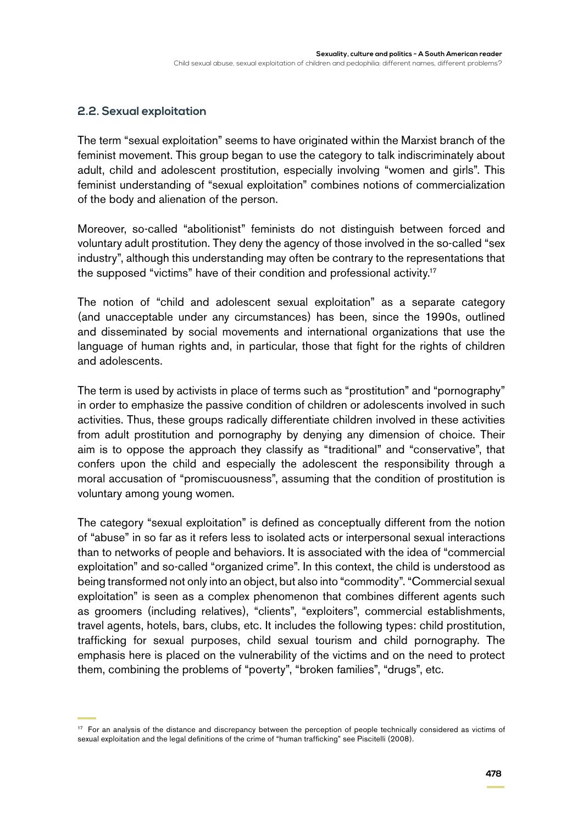#### **2.2. Sexual exploitation**

The term "sexual exploitation" seems to have originated within the Marxist branch of the feminist movement. This group began to use the category to talk indiscriminately about adult, child and adolescent prostitution, especially involving "women and girls". This feminist understanding of "sexual exploitation" combines notions of commercialization of the body and alienation of the person.

Moreover, so-called "abolitionist" feminists do not distinguish between forced and voluntary adult prostitution. They deny the agency of those involved in the so-called "sex industry", although this understanding may often be contrary to the representations that the supposed "victims" have of their condition and professional activity.17

The notion of "child and adolescent sexual exploitation" as a separate category (and unacceptable under any circumstances) has been, since the 1990s, outlined and disseminated by social movements and international organizations that use the language of human rights and, in particular, those that fight for the rights of children and adolescents.

The term is used by activists in place of terms such as "prostitution" and "pornography" in order to emphasize the passive condition of children or adolescents involved in such activities. Thus, these groups radically differentiate children involved in these activities from adult prostitution and pornography by denying any dimension of choice. Their aim is to oppose the approach they classify as "traditional" and "conservative", that confers upon the child and especially the adolescent the responsibility through a moral accusation of "promiscuousness", assuming that the condition of prostitution is voluntary among young women.

The category "sexual exploitation" is defined as conceptually different from the notion of "abuse" in so far as it refers less to isolated acts or interpersonal sexual interactions than to networks of people and behaviors. It is associated with the idea of "commercial exploitation" and so-called "organized crime". In this context, the child is understood as being transformed not only into an object, but also into "commodity". "Commercial sexual exploitation" is seen as a complex phenomenon that combines different agents such as groomers (including relatives), "clients", "exploiters", commercial establishments, travel agents, hotels, bars, clubs, etc. It includes the following types: child prostitution, trafficking for sexual purposes, child sexual tourism and child pornography. The emphasis here is placed on the vulnerability of the victims and on the need to protect them, combining the problems of "poverty", "broken families", "drugs", etc.

<sup>&</sup>lt;sup>17</sup> For an analysis of the distance and discrepancy between the perception of people technically considered as victims of sexual exploitation and the legal definitions of the crime of "human trafficking" see Piscitelli (2008).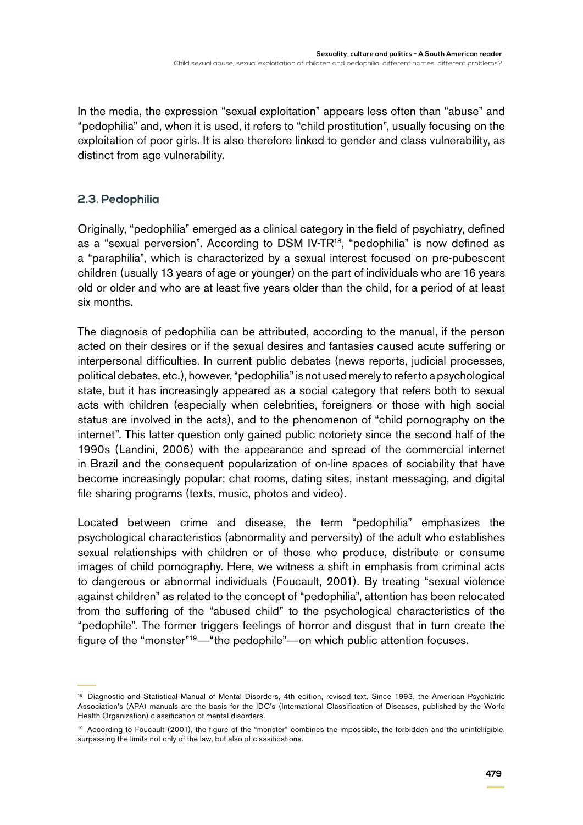In the media, the expression "sexual exploitation" appears less often than "abuse" and "pedophilia" and, when it is used, it refers to "child prostitution", usually focusing on the exploitation of poor girls. It is also therefore linked to gender and class vulnerability, as distinct from age vulnerability.

#### **2.3. Pedophilia**

Originally, "pedophilia" emerged as a clinical category in the field of psychiatry, defined as a "sexual perversion". According to DSM IV-TR<sup>18</sup>, "pedophilia" is now defined as a "paraphilia", which is characterized by a sexual interest focused on pre-pubescent children (usually 13 years of age or younger) on the part of individuals who are 16 years old or older and who are at least five years older than the child, for a period of at least six months.

The diagnosis of pedophilia can be attributed, according to the manual, if the person acted on their desires or if the sexual desires and fantasies caused acute suffering or interpersonal difficulties. In current public debates (news reports, judicial processes, political debates, etc.), however, "pedophilia" is not used merely to refer to a psychological state, but it has increasingly appeared as a social category that refers both to sexual acts with children (especially when celebrities, foreigners or those with high social status are involved in the acts), and to the phenomenon of "child pornography on the internet". This latter question only gained public notoriety since the second half of the 1990s (Landini, 2006) with the appearance and spread of the commercial internet in Brazil and the consequent popularization of on-line spaces of sociability that have become increasingly popular: chat rooms, dating sites, instant messaging, and digital file sharing programs (texts, music, photos and video).

Located between crime and disease, the term "pedophilia" emphasizes the psychological characteristics (abnormality and perversity) of the adult who establishes sexual relationships with children or of those who produce, distribute or consume images of child pornography. Here, we witness a shift in emphasis from criminal acts to dangerous or abnormal individuals (Foucault, 2001). By treating "sexual violence against children" as related to the concept of "pedophilia", attention has been relocated from the suffering of the "abused child" to the psychological characteristics of the "pedophile". The former triggers feelings of horror and disgust that in turn create the figure of the "monster"19—"the pedophile"—on which public attention focuses.

<sup>&</sup>lt;sup>18</sup> Diagnostic and Statistical Manual of Mental Disorders, 4th edition, revised text. Since 1993, the American Psychiatric Association's (APA) manuals are the basis for the IDC's (International Classification of Diseases, published by the World Health Organization) classification of mental disorders.

<sup>&</sup>lt;sup>19</sup> According to Foucault (2001), the figure of the "monster" combines the impossible, the forbidden and the unintelligible, surpassing the limits not only of the law, but also of classifications.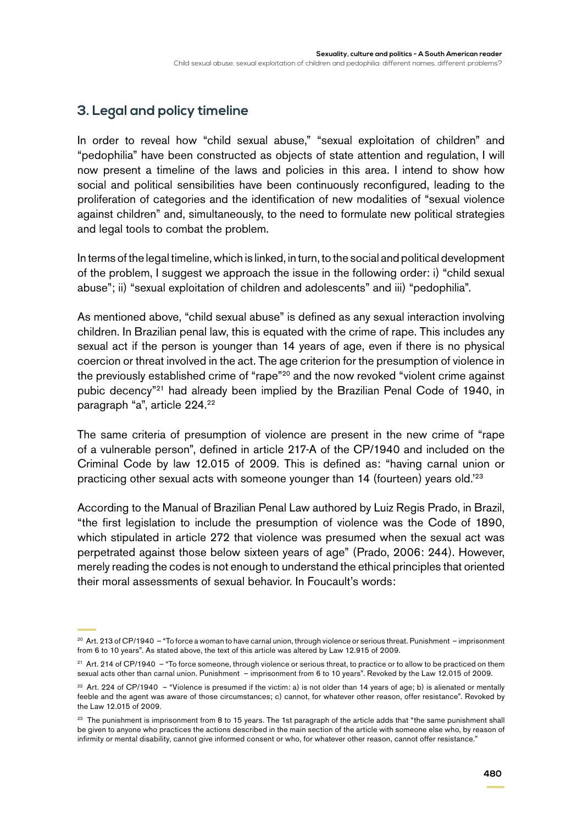# **3. Legal and policy timeline**

In order to reveal how "child sexual abuse," "sexual exploitation of children" and "pedophilia" have been constructed as objects of state attention and regulation, I will now present a timeline of the laws and policies in this area. I intend to show how social and political sensibilities have been continuously reconfigured, leading to the proliferation of categories and the identification of new modalities of "sexual violence against children" and, simultaneously, to the need to formulate new political strategies and legal tools to combat the problem.

In terms of the legal timeline, which is linked, in turn, to the social and political development of the problem, I suggest we approach the issue in the following order: i) "child sexual abuse"; ii) "sexual exploitation of children and adolescents" and iii) "pedophilia".

As mentioned above, "child sexual abuse" is defined as any sexual interaction involving children. In Brazilian penal law, this is equated with the crime of rape. This includes any sexual act if the person is younger than 14 years of age, even if there is no physical coercion or threat involved in the act. The age criterion for the presumption of violence in the previously established crime of "rape"<sup>20</sup> and the now revoked "violent crime against pubic decency"21 had already been implied by the Brazilian Penal Code of 1940, in paragraph "a", article 224.22

The same criteria of presumption of violence are present in the new crime of "rape of a vulnerable person", defined in article 217-A of the CP/1940 and included on the Criminal Code by law 12.015 of 2009. This is defined as: "having carnal union or practicing other sexual acts with someone younger than 14 (fourteen) years old.'23

According to the Manual of Brazilian Penal Law authored by Luiz Regis Prado, in Brazil, "the first legislation to include the presumption of violence was the Code of 1890, which stipulated in article 272 that violence was presumed when the sexual act was perpetrated against those below sixteen years of age" (Prado, 2006: 244). However, merely reading the codes is not enough to understand the ethical principles that oriented their moral assessments of sexual behavior. In Foucault's words:

<sup>20</sup> Art. 213 of CP/1940 – "To force a woman to have carnal union, through violence or serious threat. Punishment – imprisonment from 6 to 10 years". As stated above, the text of this article was altered by Law 12.915 of 2009.

<sup>21</sup> Art. 214 of CP/1940 – "To force someone, through violence or serious threat, to practice or to allow to be practiced on them sexual acts other than carnal union. Punishment – imprisonment from 6 to 10 years". Revoked by the Law 12.015 of 2009.

 $22$  Art. 224 of CP/1940 – "Violence is presumed if the victim: a) is not older than 14 years of age; b) is alienated or mentally feeble and the agent was aware of those circumstances; c) cannot, for whatever other reason, offer resistance". Revoked by the Law 12.015 of 2009.

<sup>&</sup>lt;sup>23</sup> The punishment is imprisonment from 8 to 15 years. The 1st paragraph of the article adds that "the same punishment shall be given to anyone who practices the actions described in the main section of the article with someone else who, by reason of infirmity or mental disability, cannot give informed consent or who, for whatever other reason, cannot offer resistance."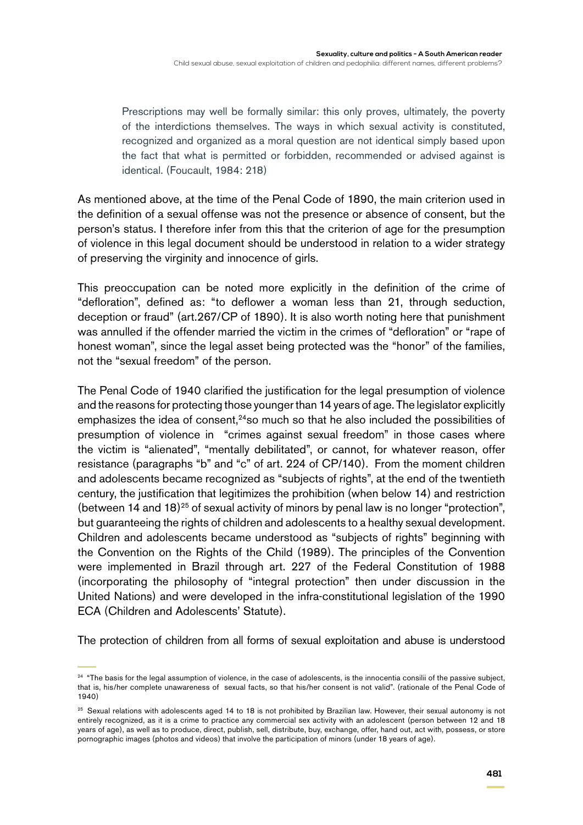Prescriptions may well be formally similar: this only proves, ultimately, the poverty of the interdictions themselves. The ways in which sexual activity is constituted, recognized and organized as a moral question are not identical simply based upon the fact that what is permitted or forbidden, recommended or advised against is identical. (Foucault, 1984: 218)

As mentioned above, at the time of the Penal Code of 1890, the main criterion used in the definition of a sexual offense was not the presence or absence of consent, but the person's status. I therefore infer from this that the criterion of age for the presumption of violence in this legal document should be understood in relation to a wider strategy of preserving the virginity and innocence of girls.

This preoccupation can be noted more explicitly in the definition of the crime of "defloration", defined as: "to deflower a woman less than 21, through seduction, deception or fraud" (art.267/CP of 1890). It is also worth noting here that punishment was annulled if the offender married the victim in the crimes of "defloration" or "rape of honest woman", since the legal asset being protected was the "honor" of the families, not the "sexual freedom" of the person.

The Penal Code of 1940 clarified the justification for the legal presumption of violence and the reasons for protecting those younger than 14 years of age. The legislator explicitly emphasizes the idea of consent, $24$ so much so that he also included the possibilities of presumption of violence in "crimes against sexual freedom" in those cases where the victim is "alienated", "mentally debilitated", or cannot, for whatever reason, offer resistance (paragraphs "b" and "c" of art. 224 of CP/140). From the moment children and adolescents became recognized as "subjects of rights", at the end of the twentieth century, the justification that legitimizes the prohibition (when below 14) and restriction (between 14 and 18) $25$  of sexual activity of minors by penal law is no longer "protection", but guaranteeing the rights of children and adolescents to a healthy sexual development. Children and adolescents became understood as "subjects of rights" beginning with the Convention on the Rights of the Child (1989). The principles of the Convention were implemented in Brazil through art. 227 of the Federal Constitution of 1988 (incorporating the philosophy of "integral protection" then under discussion in the United Nations) and were developed in the infra-constitutional legislation of the 1990 ECA (Children and Adolescents' Statute).

The protection of children from all forms of sexual exploitation and abuse is understood

<sup>&</sup>lt;sup>24</sup> "The basis for the legal assumption of violence, in the case of adolescents, is the innocentia consilii of the passive subject, that is, his/her complete unawareness of sexual facts, so that his/her consent is not valid". (rationale of the Penal Code of 1940)

<sup>&</sup>lt;sup>25</sup> Sexual relations with adolescents aged 14 to 18 is not prohibited by Brazilian law. However, their sexual autonomy is not entirely recognized, as it is a crime to practice any commercial sex activity with an adolescent (person between 12 and 18 years of age), as well as to produce, direct, publish, sell, distribute, buy, exchange, offer, hand out, act with, possess, or store pornographic images (photos and videos) that involve the participation of minors (under 18 years of age).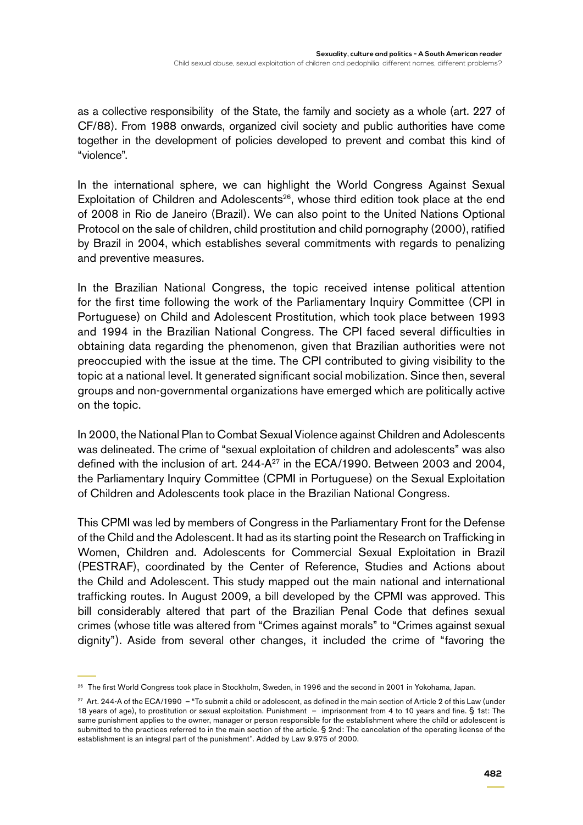as a collective responsibility of the State, the family and society as a whole (art. 227 of CF/88). From 1988 onwards, organized civil society and public authorities have come together in the development of policies developed to prevent and combat this kind of "violence".

In the international sphere, we can highlight the World Congress Against Sexual Exploitation of Children and Adolescents<sup>26</sup>, whose third edition took place at the end of 2008 in Rio de Janeiro (Brazil). We can also point to the United Nations Optional Protocol on the sale of children, child prostitution and child pornography (2000), ratified by Brazil in 2004, which establishes several commitments with regards to penalizing and preventive measures.

In the Brazilian National Congress, the topic received intense political attention for the first time following the work of the Parliamentary Inquiry Committee (CPI in Portuguese) on Child and Adolescent Prostitution, which took place between 1993 and 1994 in the Brazilian National Congress. The CPI faced several difficulties in obtaining data regarding the phenomenon, given that Brazilian authorities were not preoccupied with the issue at the time. The CPI contributed to giving visibility to the topic at a national level. It generated significant social mobilization. Since then, several groups and non-governmental organizations have emerged which are politically active on the topic.

In 2000, the National Plan to Combat Sexual Violence against Children and Adolescents was delineated. The crime of "sexual exploitation of children and adolescents" was also defined with the inclusion of art. 244-A<sup>27</sup> in the ECA/1990. Between 2003 and 2004, the Parliamentary Inquiry Committee (CPMI in Portuguese) on the Sexual Exploitation of Children and Adolescents took place in the Brazilian National Congress.

This CPMI was led by members of Congress in the Parliamentary Front for the Defense of the Child and the Adolescent. It had as its starting point the Research on Trafficking in Women, Children and. Adolescents for Commercial Sexual Exploitation in Brazil (PESTRAF), coordinated by the Center of Reference, Studies and Actions about the Child and Adolescent. This study mapped out the main national and international trafficking routes. In August 2009, a bill developed by the CPMI was approved. This bill considerably altered that part of the Brazilian Penal Code that defines sexual crimes (whose title was altered from "Crimes against morals" to "Crimes against sexual dignity"). Aside from several other changes, it included the crime of "favoring the

<sup>&</sup>lt;sup>26</sup> The first World Congress took place in Stockholm, Sweden, in 1996 and the second in 2001 in Yokohama, Japan.

<sup>27</sup> Art. 244-A of the ECA/1990 – "To submit a child or adolescent, as defined in the main section of Article 2 of this Law (under 18 years of age), to prostitution or sexual exploitation. Punishment – imprisonment from 4 to 10 years and fine. § 1st: The same punishment applies to the owner, manager or person responsible for the establishment where the child or adolescent is submitted to the practices referred to in the main section of the article. § 2nd: The cancelation of the operating license of the establishment is an integral part of the punishment". Added by Law 9.975 of 2000.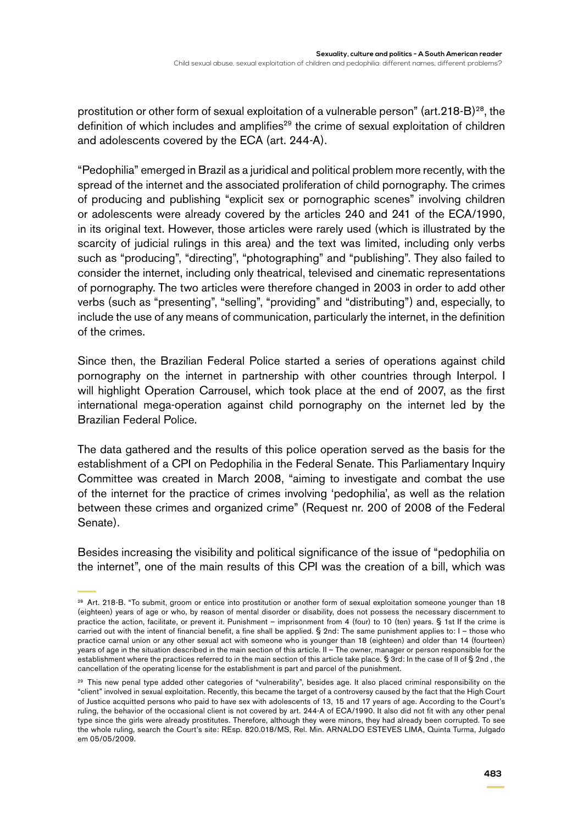prostitution or other form of sexual exploitation of a vulnerable person" (art.  $218-B$ )<sup>28</sup>, the definition of which includes and amplifies<sup>29</sup> the crime of sexual exploitation of children and adolescents covered by the ECA (art. 244-A).

"Pedophilia" emerged in Brazil as a juridical and political problem more recently, with the spread of the internet and the associated proliferation of child pornography. The crimes of producing and publishing "explicit sex or pornographic scenes" involving children or adolescents were already covered by the articles 240 and 241 of the ECA/1990, in its original text. However, those articles were rarely used (which is illustrated by the scarcity of judicial rulings in this area) and the text was limited, including only verbs such as "producing", "directing", "photographing" and "publishing". They also failed to consider the internet, including only theatrical, televised and cinematic representations of pornography. The two articles were therefore changed in 2003 in order to add other verbs (such as "presenting", "selling", "providing" and "distributing") and, especially, to include the use of any means of communication, particularly the internet, in the definition of the crimes.

Since then, the Brazilian Federal Police started a series of operations against child pornography on the internet in partnership with other countries through Interpol. I will highlight Operation Carrousel, which took place at the end of 2007, as the first international mega-operation against child pornography on the internet led by the Brazilian Federal Police.

The data gathered and the results of this police operation served as the basis for the establishment of a CPI on Pedophilia in the Federal Senate. This Parliamentary Inquiry Committee was created in March 2008, "aiming to investigate and combat the use of the internet for the practice of crimes involving 'pedophilia', as well as the relation between these crimes and organized crime" (Request nr. 200 of 2008 of the Federal Senate).

Besides increasing the visibility and political significance of the issue of "pedophilia on the internet", one of the main results of this CPI was the creation of a bill, which was

<sup>&</sup>lt;sup>28</sup> Art. 218-B. "To submit, groom or entice into prostitution or another form of sexual exploitation someone younger than 18 (eighteen) years of age or who, by reason of mental disorder or disability, does not possess the necessary discernment to practice the action, facilitate, or prevent it. Punishment – imprisonment from 4 (four) to 10 (ten) years. § 1st If the crime is carried out with the intent of financial benefit, a fine shall be applied. § 2nd: The same punishment applies to: I – those who practice carnal union or any other sexual act with someone who is younger than 18 (eighteen) and older than 14 (fourteen) years of age in the situation described in the main section of this article. II – The owner, manager or person responsible for the establishment where the practices referred to in the main section of this article take place. § 3rd: In the case of II of § 2nd , the cancellation of the operating license for the establishment is part and parcel of the punishment.

<sup>&</sup>lt;sup>29</sup> This new penal type added other categories of "vulnerability", besides age. It also placed criminal responsibility on the "client" involved in sexual exploitation. Recently, this became the target of a controversy caused by the fact that the High Court of Justice acquitted persons who paid to have sex with adolescents of 13, 15 and 17 years of age. According to the Court's ruling, the behavior of the occasional client is not covered by art. 244-A of ECA/1990. It also did not fit with any other penal type since the girls were already prostitutes. Therefore, although they were minors, they had already been corrupted. To see the whole ruling, search the Court's site: REsp. 820.018/MS, Rel. Min. ARNALDO ESTEVES LIMA, Quinta Turma, Julgado em 05/05/2009.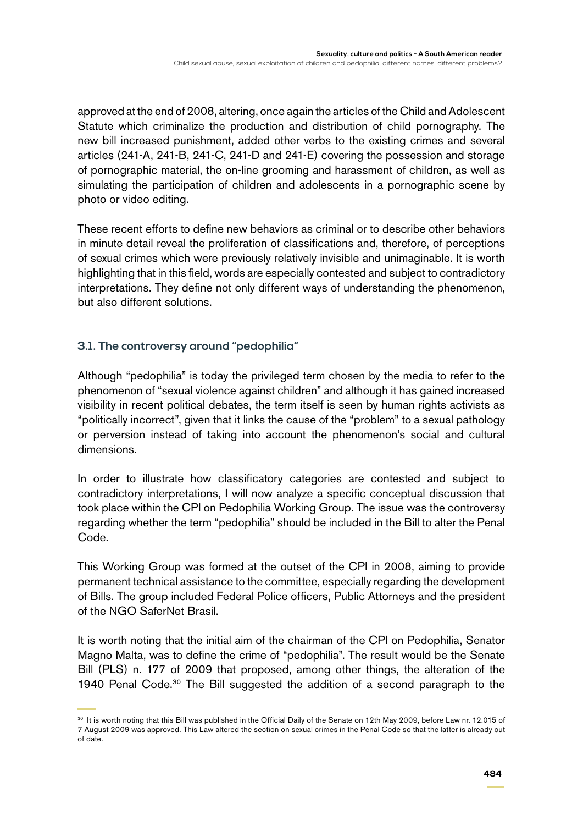approved at the end of 2008, altering, once again the articles of the Child and Adolescent Statute which criminalize the production and distribution of child pornography. The new bill increased punishment, added other verbs to the existing crimes and several articles (241-A, 241-B, 241-C, 241-D and 241-E) covering the possession and storage of pornographic material, the on-line grooming and harassment of children, as well as simulating the participation of children and adolescents in a pornographic scene by photo or video editing.

These recent efforts to define new behaviors as criminal or to describe other behaviors in minute detail reveal the proliferation of classifications and, therefore, of perceptions of sexual crimes which were previously relatively invisible and unimaginable. It is worth highlighting that in this field, words are especially contested and subject to contradictory interpretations. They define not only different ways of understanding the phenomenon, but also different solutions.

#### **3.1. The controversy around "pedophilia"**

Although "pedophilia" is today the privileged term chosen by the media to refer to the phenomenon of "sexual violence against children" and although it has gained increased visibility in recent political debates, the term itself is seen by human rights activists as "politically incorrect", given that it links the cause of the "problem" to a sexual pathology or perversion instead of taking into account the phenomenon's social and cultural dimensions.

In order to illustrate how classificatory categories are contested and subject to contradictory interpretations, I will now analyze a specific conceptual discussion that took place within the CPI on Pedophilia Working Group. The issue was the controversy regarding whether the term "pedophilia" should be included in the Bill to alter the Penal Code.

This Working Group was formed at the outset of the CPI in 2008, aiming to provide permanent technical assistance to the committee, especially regarding the development of Bills. The group included Federal Police officers, Public Attorneys and the president of the NGO SaferNet Brasil.

It is worth noting that the initial aim of the chairman of the CPI on Pedophilia, Senator Magno Malta, was to define the crime of "pedophilia". The result would be the Senate Bill (PLS) n. 177 of 2009 that proposed, among other things, the alteration of the 1940 Penal Code.30 The Bill suggested the addition of a second paragraph to the

<sup>&</sup>lt;sup>30</sup> It is worth noting that this Bill was published in the Official Daily of the Senate on 12th May 2009, before Law nr. 12.015 of 7 August 2009 was approved. This Law altered the section on sexual crimes in the Penal Code so that the latter is already out of date.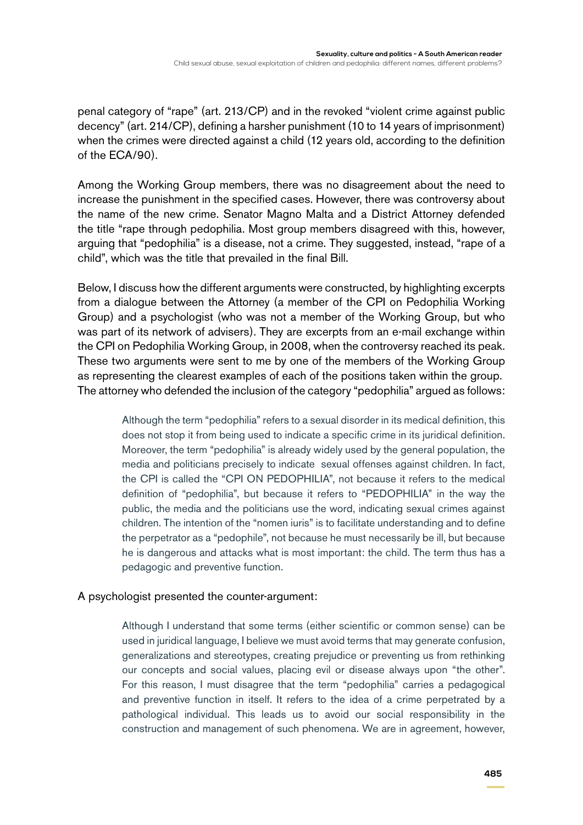penal category of "rape" (art. 213/CP) and in the revoked "violent crime against public decency" (art. 214/CP), defining a harsher punishment (10 to 14 years of imprisonment) when the crimes were directed against a child (12 years old, according to the definition of the ECA/90).

Among the Working Group members, there was no disagreement about the need to increase the punishment in the specified cases. However, there was controversy about the name of the new crime. Senator Magno Malta and a District Attorney defended the title "rape through pedophilia. Most group members disagreed with this, however, arguing that "pedophilia" is a disease, not a crime. They suggested, instead, "rape of a child", which was the title that prevailed in the final Bill.

Below, I discuss how the different arguments were constructed, by highlighting excerpts from a dialogue between the Attorney (a member of the CPI on Pedophilia Working Group) and a psychologist (who was not a member of the Working Group, but who was part of its network of advisers). They are excerpts from an e-mail exchange within the CPI on Pedophilia Working Group, in 2008, when the controversy reached its peak. These two arguments were sent to me by one of the members of the Working Group as representing the clearest examples of each of the positions taken within the group. The attorney who defended the inclusion of the category "pedophilia" argued as follows:

> Although the term "pedophilia" refers to a sexual disorder in its medical definition, this does not stop it from being used to indicate a specific crime in its juridical definition. Moreover, the term "pedophilia" is already widely used by the general population, the media and politicians precisely to indicate sexual offenses against children. In fact, the CPI is called the "CPI ON PEDOPHILIA", not because it refers to the medical definition of "pedophilia", but because it refers to "PEDOPHILIA" in the way the public, the media and the politicians use the word, indicating sexual crimes against children. The intention of the "nomen iuris" is to facilitate understanding and to define the perpetrator as a "pedophile", not because he must necessarily be ill, but because he is dangerous and attacks what is most important: the child. The term thus has a pedagogic and preventive function.

#### A psychologist presented the counter-argument:

Although I understand that some terms (either scientific or common sense) can be used in juridical language, I believe we must avoid terms that may generate confusion, generalizations and stereotypes, creating prejudice or preventing us from rethinking our concepts and social values, placing evil or disease always upon "the other". For this reason, I must disagree that the term "pedophilia" carries a pedagogical and preventive function in itself. It refers to the idea of a crime perpetrated by a pathological individual. This leads us to avoid our social responsibility in the construction and management of such phenomena. We are in agreement, however,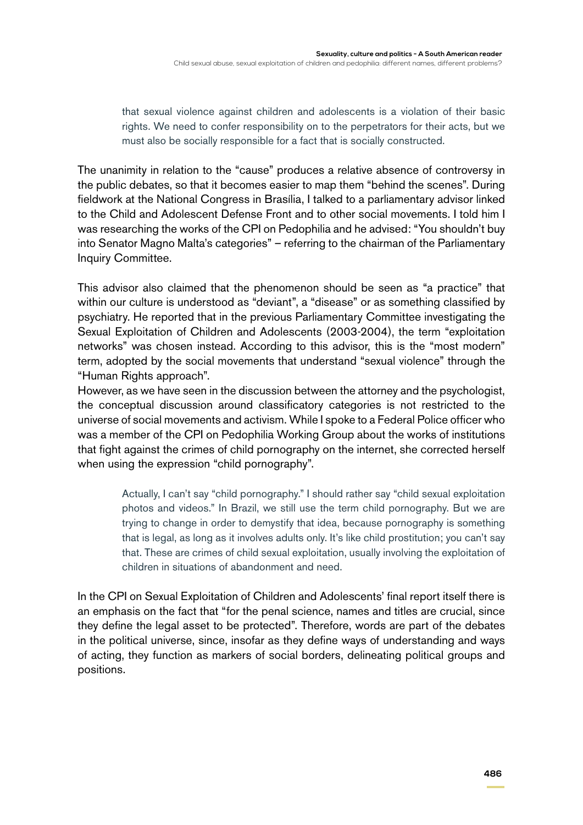that sexual violence against children and adolescents is a violation of their basic rights. We need to confer responsibility on to the perpetrators for their acts, but we must also be socially responsible for a fact that is socially constructed.

The unanimity in relation to the "cause" produces a relative absence of controversy in the public debates, so that it becomes easier to map them "behind the scenes". During fieldwork at the National Congress in Brasília, I talked to a parliamentary advisor linked to the Child and Adolescent Defense Front and to other social movements. I told him I was researching the works of the CPI on Pedophilia and he advised: "You shouldn't buy into Senator Magno Malta's categories" – referring to the chairman of the Parliamentary Inquiry Committee.

This advisor also claimed that the phenomenon should be seen as "a practice" that within our culture is understood as "deviant", a "disease" or as something classified by psychiatry. He reported that in the previous Parliamentary Committee investigating the Sexual Exploitation of Children and Adolescents (2003-2004), the term "exploitation networks" was chosen instead. According to this advisor, this is the "most modern" term, adopted by the social movements that understand "sexual violence" through the "Human Rights approach".

However, as we have seen in the discussion between the attorney and the psychologist, the conceptual discussion around classificatory categories is not restricted to the universe of social movements and activism. While I spoke to a Federal Police officer who was a member of the CPI on Pedophilia Working Group about the works of institutions that fight against the crimes of child pornography on the internet, she corrected herself when using the expression "child pornography".

> Actually, I can't say "child pornography." I should rather say "child sexual exploitation photos and videos." In Brazil, we still use the term child pornography. But we are trying to change in order to demystify that idea, because pornography is something that is legal, as long as it involves adults only. It's like child prostitution; you can't say that. These are crimes of child sexual exploitation, usually involving the exploitation of children in situations of abandonment and need.

In the CPI on Sexual Exploitation of Children and Adolescents' final report itself there is an emphasis on the fact that "for the penal science, names and titles are crucial, since they define the legal asset to be protected". Therefore, words are part of the debates in the political universe, since, insofar as they define ways of understanding and ways of acting, they function as markers of social borders, delineating political groups and positions.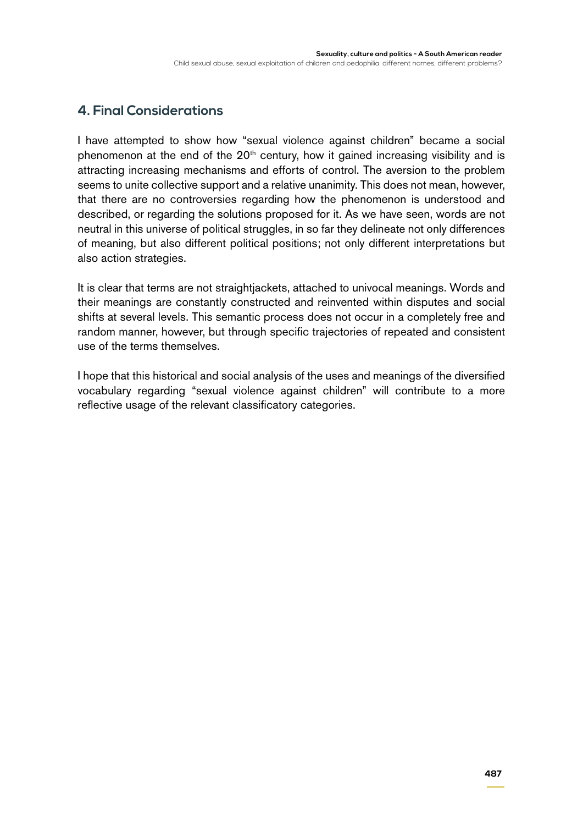# **4. Final Considerations**

I have attempted to show how "sexual violence against children" became a social phenomenon at the end of the  $20<sup>th</sup>$  century, how it gained increasing visibility and is attracting increasing mechanisms and efforts of control. The aversion to the problem seems to unite collective support and a relative unanimity. This does not mean, however, that there are no controversies regarding how the phenomenon is understood and described, or regarding the solutions proposed for it. As we have seen, words are not neutral in this universe of political struggles, in so far they delineate not only differences of meaning, but also different political positions; not only different interpretations but also action strategies.

It is clear that terms are not straightjackets, attached to univocal meanings. Words and their meanings are constantly constructed and reinvented within disputes and social shifts at several levels. This semantic process does not occur in a completely free and random manner, however, but through specific trajectories of repeated and consistent use of the terms themselves.

I hope that this historical and social analysis of the uses and meanings of the diversified vocabulary regarding "sexual violence against children" will contribute to a more reflective usage of the relevant classificatory categories.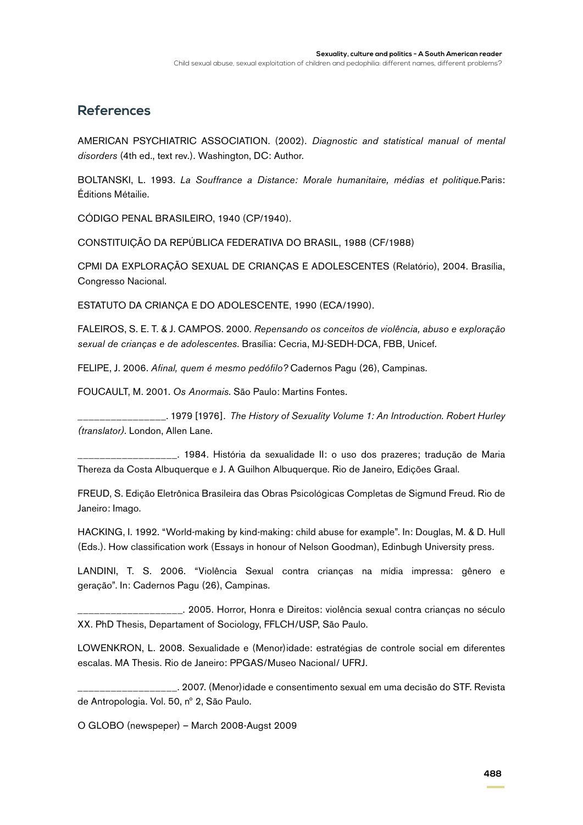### **References**

American Psychiatric Association. (2002). *Diagnostic and statistical manual of mental disorders* (4th ed., text rev.). Washington, DC: Author.

BOLTANSKI, L. 1993. *La Souffrance a Distance: Morale humanitaire, médias et politique*.Paris: Éditions Métailie.

CÓDIGO PENAL BRASILEIRO, 1940 (CP/1940).

CONSTITUIÇÃO DA REPÚBLICA FEDERATIVA DO BRASIL, 1988 (CF/1988)

CPMI DA EXPLORAÇÃO SEXUAL DE CRIANÇAS E ADOLESCENTES (Relatório), 2004. Brasília, Congresso Nacional.

ESTATUTO DA CRIANÇA E DO ADOLESCENTE, 1990 (ECA/1990).

FALEIROS, S. E. T. & J. CAMPOS. 2000. *Repensando os conceitos de violência, abuso e exploração sexual de crianças e de adolescentes*. Brasília: Cecria, MJ-SEDH-DCA, FBB, Unicef.

FELIPE, J. 2006. *Afinal, quem é mesmo pedófilo?* Cadernos Pagu (26), Campinas.

FOUCAULT, M. 2001. *Os Anormais*. São Paulo: Martins Fontes.

\_\_\_\_\_\_\_\_\_\_\_\_\_\_\_\_. 1979 [1976]. *The History of Sexuality Volume 1: An Introduction. Robert Hurley (translator).* London, Allen Lane.

\_\_\_. 1984. História da sexualidade II: o uso dos prazeres; tradução de Maria Thereza da Costa Albuquerque e J. A Guilhon Albuquerque. Rio de Janeiro, Edições Graal.

FREUD, S. Edição Eletrônica Brasileira das Obras Psicológicas Completas de Sigmund Freud. Rio de Janeiro: Imago.

HACKING, I. 1992. "World-making by kind-making: child abuse for example". In: Douglas, M. & D. Hull (Eds.). How classification work (Essays in honour of Nelson Goodman), Edinbugh University press.

LANDINI, T. S. 2006. "Violência Sexual contra crianças na mídia impressa: gênero e geração". In: Cadernos Pagu (26), Campinas.

\_\_\_\_\_\_\_\_\_\_\_\_\_\_\_\_\_\_\_. 2005. Horror, Honra e Direitos: violência sexual contra crianças no século XX. PhD Thesis, Departament of Sociology, FFLCH/USP, São Paulo.

LOWENKRON, L. 2008. Sexualidade e (Menor)idade: estratégias de controle social em diferentes escalas. MA Thesis. Rio de Janeiro: PPGAS/Museo Nacional/ UFRJ.

\_\_\_\_\_\_\_\_\_\_\_\_\_\_\_\_\_\_. 2007. (Menor)idade e consentimento sexual em uma decisão do STF. Revista de Antropologia. Vol. 50, nº 2, São Paulo.

O GLOBO (newspeper) – March 2008-Augst 2009